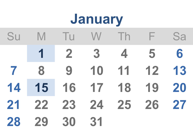## Su M Tu W Th F Sa **2 3 4 5 6 8 9 10 11 12 13 15 16 17 18 19 20 22 23 24 25 26 27 29 30 31 January**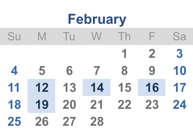# Su M Tu W Th F Sa **2 3 5 6 7 8 9 10 12 13 14 15 16 17 19 20 21 22 23 24 26 27 28 February**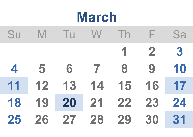| March |    |                         |    |    |              |    |
|-------|----|-------------------------|----|----|--------------|----|
| Su    | M  | $\overline{\mathsf{u}}$ |    |    | н            | Sa |
|       |    |                         |    | 1  | $\mathbf{2}$ | 3  |
| 4     | 5  | 6                       |    | 8  | 9            | 10 |
| 11    | 12 | 13                      | 14 | 15 | 16           | 17 |
| 18    | 19 | 20                      | 21 | 22 | 23           | 24 |
| 25    | 26 | 27                      | 28 | 29 | 30           | 31 |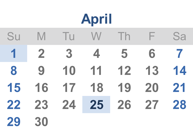## **A p r i l**

| Su | M           |                 | Tu W Th F                |                | Sa             |
|----|-------------|-----------------|--------------------------|----------------|----------------|
|    | $1 \quad 2$ | $3 \quad 4$     | $\overline{\phantom{a}}$ | $\overline{6}$ | $\overline{7}$ |
| 8  | 9           | $\overline{10}$ | $11 \quad 12$            | 13             | 14             |
| 15 | 16          | 17 18           | 19 20                    |                | 21             |
| 22 |             |                 | 23 24 25 26 27 28        |                |                |
| 29 | 30          |                 |                          |                |                |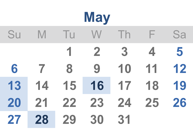| <b>May</b> |    |              |              |    |    |    |
|------------|----|--------------|--------------|----|----|----|
| Su         | M  | $\mathbf{H}$ | W            | Th | Н  | Sa |
|            |    | 1            | $\mathbf{2}$ | 3  | 4  | 5  |
| 6          |    | 8            | 9            | 10 | 11 | 12 |
| 13         | 14 | 15           | 16           | 17 | 18 | 19 |
| 20         | 21 | 22           | 23           | 24 | 25 | 26 |
| 27         | 28 | 29           | 30           | 31 |    |    |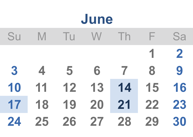# Su M Tu W Th F Sa **2 4 5 6 7 8 9 11 12 13 14 15 16 18 19 20 21 22 23 25 26 27 28 29 30 June**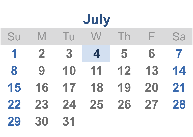|    |             |    | July |               |    |    |
|----|-------------|----|------|---------------|----|----|
| Su | M           | Tu | W    | $\mathsf{In}$ | Н  | Sa |
| 1  | $\mathbf 2$ | 3  | 4    | 5             | 6  | 7  |
| 8  | 9           | 10 | 11   | 12            | 13 | 14 |
| 15 | 16          | 17 | 18   | 19            | 20 | 21 |
| 22 | 23          | 24 | 25   | 26            | 27 | 28 |
| 29 | 30          | 31 |      |               |    |    |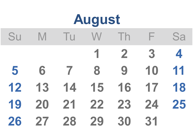| August |    |                     |    |              |    |    |
|--------|----|---------------------|----|--------------|----|----|
| Su     | M  | $\mathbf \mathbf I$ |    | $\ln$        | Е  | Sa |
|        |    |                     |    | $\mathbf{2}$ | 3  | 4  |
| 5      | 6  |                     | 8  | 9            | 10 | 11 |
| 12     | 13 | 14                  | 15 | 16           | 17 | 18 |
| 19     | 20 | 21                  | 22 | 23           | 24 | 25 |
| 26     | 27 | 28                  | 29 | 30           | 31 |    |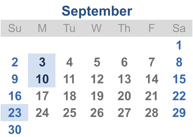### **September**

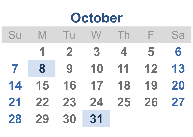## Su M Tu W Th F Sa **2 3 4 5 6 8 9 10 11 12 13 15 16 17 18 19 20 22 23 24 25 26 27 29 30 31 October**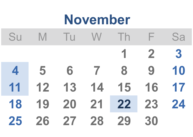# Su M Tu W Th F Sa **2 3 5 6 7 8 9 10 12 13 14 15 16 17 19 20 21 22 23 24 26 27 28 29 30 November**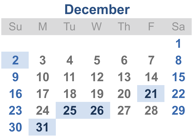#### **December**

| Su             | M. | TU                      | <b>W</b>                | $\ln$ | $\blacksquare$ | Sa |
|----------------|----|-------------------------|-------------------------|-------|----------------|----|
|                |    |                         |                         |       |                |    |
| $\overline{2}$ | 3  | $\overline{\mathbf{4}}$ | $\overline{\mathbf{5}}$ | 6     | $\overline{7}$ | 8  |
| 9              | 10 | 11                      | 12                      | 13    | 14             | 15 |
| 16             | 17 | 18                      | 19                      | 20    | 21             | 22 |
| 23             | 24 |                         | 25 26 27 28             |       |                | 29 |
| 30             | 31 |                         |                         |       |                |    |